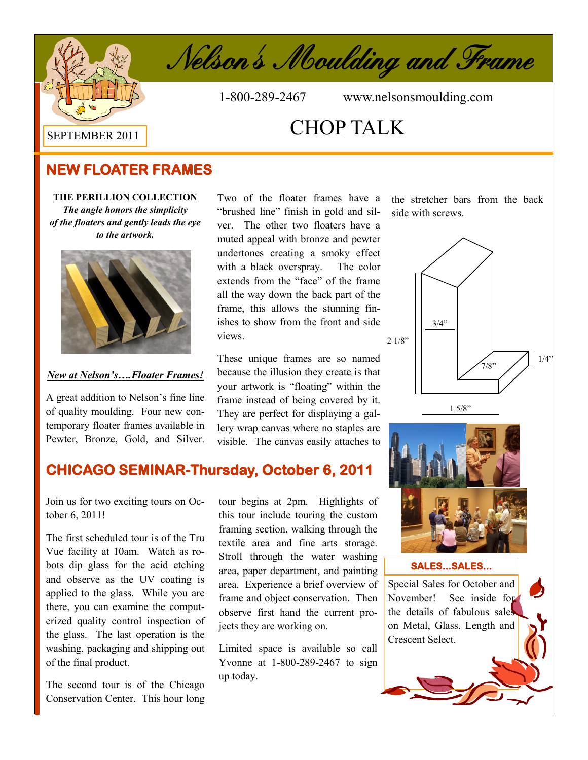



1-800-289-2467 www.nelsonsmoulding.com

# CHOP TALK

# **NEW FLOATER FRAMES**

### **THE PERILLION COLLECTION**

*The angle honors the simplicity of the floaters and gently leads the eye to the artwork.* 



### *New at Nelson's….Floater Frames!*

A great addition to Nelson's fine line of quality moulding. Four new contemporary floater frames available in Pewter, Bronze, Gold, and Silver. Two of the floater frames have a "brushed line" finish in gold and silver. The other two floaters have a muted appeal with bronze and pewter undertones creating a smoky effect with a black overspray. The color extends from the "face" of the frame all the way down the back part of the frame, this allows the stunning finishes to show from the front and side views.

These unique frames are so named because the illusion they create is that your artwork is "floating" within the frame instead of being covered by it. They are perfect for displaying a gallery wrap canvas where no staples are visible. The canvas easily attaches to the stretcher bars from the back side with screws.



on Metal, Glass, Length and

Crescent Select.

# **CHICAGO SEMINAR-Thursday, October 6, 2011 CHICAGO SEMINAR-Thursday, October 6, 2011**

Join us for two exciting tours on October 6, 2011!

The first scheduled tour is of the Tru Vue facility at 10am. Watch as robots dip glass for the acid etching and observe as the UV coating is applied to the glass. While you are there, you can examine the computerized quality control inspection of the glass. The last operation is the washing, packaging and shipping out of the final product.

The second tour is of the Chicago Conservation Center. This hour long

tour begins at 2pm. Highlights of this tour include touring the custom framing section, walking through the textile area and fine arts storage. Stroll through the water washing area, paper department, and painting area. Experience a brief overview of frame and object conservation. Then observe first hand the current projects they are working on.

Limited space is available so call Yvonne at 1-800-289-2467 to sign up today.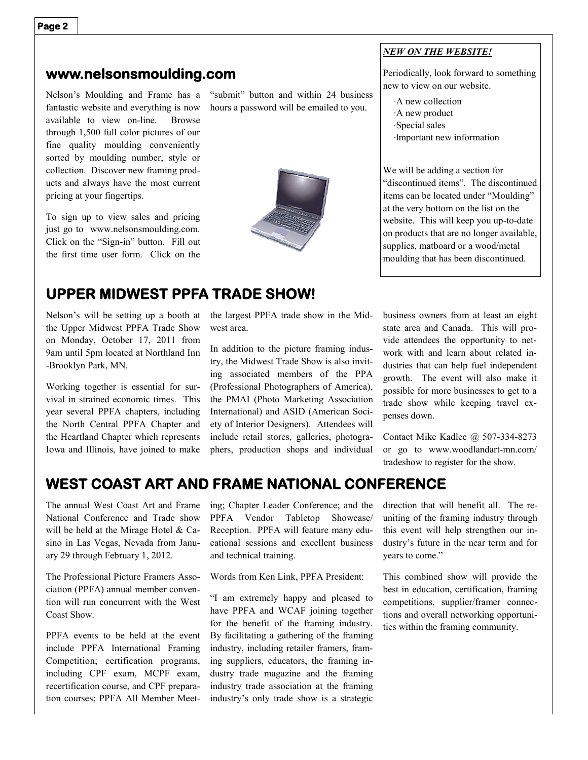### **www.nelsonsmoulding.com**

Nelson's Moulding and Frame has a fantastic website and everything is now available to view on-line. Browse through 1,500 full color pictures of our fine quality moulding conveniently sorted by moulding number, style or collection. Discover new framing products and always have the most current pricing at your fingertips.

To sign up to view sales and pricing just go to www.nelsonsmoulding.com. Click on the "Sign-in" button. Fill out the first time user form. Click on the

"submit" button and within 24 business hours a password will be emailed to you.



### *NEW ON THE WEBSITE!*

Periodically, look forward to something new to view on our website.

∙A new collection ∙A new product ∙Special sales ∙Important new information

We will be adding a section for "discontinued items". The discontinued items can be located under "Moulding" at the very bottom on the list on the website. This will keep you up-to-date on products that are no longer available, supplies, matboard or a wood/metal moulding that has been discontinued.

## **UPPER MIDWEST PPFA TRADE SHOW!**

Nelson's will be setting up a booth at the Upper Midwest PPFA Trade Show on Monday, October 17, 2011 from 9am until 5pm located at Northland Inn -Brooklyn Park, MN.

Working together is essential for survival in strained economic times. This year several PPFA chapters, including the North Central PPFA Chapter and the Heartland Chapter which represents Iowa and Illinois, have joined to make the largest PPFA trade show in the Midwest area.

In addition to the picture framing industry, the Midwest Trade Show is also inviting associated members of the PPA (Professional Photographers of America), the PMAI (Photo Marketing Association International) and ASID (American Society of Interior Designers). Attendees will include retail stores, galleries, photographers, production shops and individual business owners from at least an eight state area and Canada. This will provide attendees the opportunity to network with and learn about related industries that can help fuel independent growth. The event will also make it possible for more businesses to get to a trade show while keeping travel expenses down.

Contact Mike Kadlec @ 507-334-8273 or go to www.woodlandart-mn.com/ tradeshow to register for the show.

### **WEST COAST ART AND FRAME NATIONAL CONFERENCE**

The annual West Coast Art and Frame National Conference and Trade show will be held at the Mirage Hotel & Casino in Las Vegas, Nevada from January 29 through February 1, 2012.

The Professional Picture Framers Association (PPFA) annual member convention will run concurrent with the West Coast Show.

PPFA events to be held at the event include PPFA International Framing Competition; certification programs, including CPF exam, MCPF exam, recertification course, and CPF preparation courses; PPFA All Member Meeting; Chapter Leader Conference; and the PPFA Vendor Tabletop Showcase/ Reception. PPFA will feature many educational sessions and excellent business and technical training.

Words from Ken Link, PPFA President:

"I am extremely happy and pleased to have PPFA and WCAF joining together for the benefit of the framing industry. By facilitating a gathering of the framing industry, including retailer framers, framing suppliers, educators, the framing industry trade magazine and the framing industry trade association at the framing industry's only trade show is a strategic

direction that will benefit all. The reuniting of the framing industry through this event will help strengthen our industry's future in the near term and for years to come."

This combined show will provide the best in education, certification, framing competitions, supplier/framer connections and overall networking opportunities within the framing community.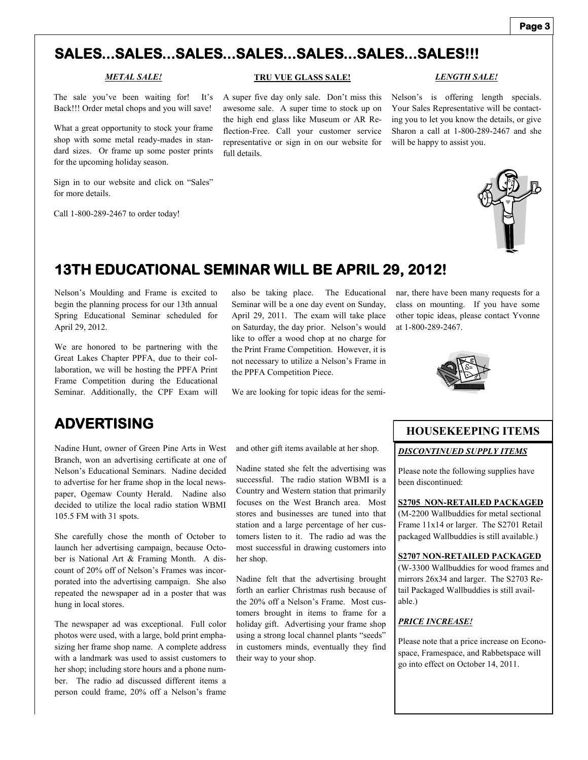#### **Page 3**

# **SALES...SALES...SALES...SALES...SALES...SALES...SALES!!!**

#### *METAL SALE!*

The sale you've been waiting for! It's Back!!! Order metal chops and you will save!

What a great opportunity to stock your frame shop with some metal ready-mades in standard sizes. Or frame up some poster prints for the upcoming holiday season.

Sign in to our website and click on "Sales" for more details.

Call 1-800-289-2467 to order today!

### **TRU VUE GLASS SALE!**

A super five day only sale. Don't miss this awesome sale. A super time to stock up on the high end glass like Museum or AR Reflection-Free. Call your customer service representative or sign in on our website for full details.

Nelson's is offering length specials. Your Sales Representative will be contacting you to let you know the details, or give Sharon a call at 1-800-289-2467 and she will be happy to assist you.

*LENGTH SALE!*



# **13TH EDUCATIONAL SEMINAR WILL BE APRIL 29, 2012!**

Nelson's Moulding and Frame is excited to begin the planning process for our 13th annual Spring Educational Seminar scheduled for April 29, 2012.

We are honored to be partnering with the Great Lakes Chapter PPFA, due to their collaboration, we will be hosting the PPFA Print Frame Competition during the Educational Seminar. Additionally, the CPF Exam will

also be taking place. The Educational Seminar will be a one day event on Sunday, April 29, 2011. The exam will take place on Saturday, the day prior. Nelson's would like to offer a wood chop at no charge for the Print Frame Competition. However, it is not necessary to utilize a Nelson's Frame in the PPFA Competition Piece.

We are looking for topic ideas for the semi-

nar, there have been many requests for a class on mounting. If you have some other topic ideas, please contact Yvonne at 1-800-289-2467.



### **ADVERTISING**

Nadine Hunt, owner of Green Pine Arts in West Branch, won an advertising certificate at one of Nelson's Educational Seminars. Nadine decided to advertise for her frame shop in the local newspaper, Ogemaw County Herald. Nadine also decided to utilize the local radio station WBMI 105.5 FM with 31 spots.

She carefully chose the month of October to launch her advertising campaign, because October is National Art & Framing Month. A discount of 20% off of Nelson's Frames was incorporated into the advertising campaign. She also repeated the newspaper ad in a poster that was hung in local stores.

The newspaper ad was exceptional. Full color photos were used, with a large, bold print emphasizing her frame shop name. A complete address with a landmark was used to assist customers to her shop; including store hours and a phone number. The radio ad discussed different items a person could frame, 20% off a Nelson's frame

and other gift items available at her shop.

Nadine stated she felt the advertising was successful. The radio station WBMI is a Country and Western station that primarily focuses on the West Branch area. Most stores and businesses are tuned into that station and a large percentage of her customers listen to it. The radio ad was the most successful in drawing customers into her shop.

Nadine felt that the advertising brought forth an earlier Christmas rush because of the 20% off a Nelson's Frame. Most customers brought in items to frame for a holiday gift. Advertising your frame shop using a strong local channel plants "seeds" in customers minds, eventually they find their way to your shop.

### **HOUSEKEEPING ITEMS**

#### *DISCONTINUED SUPPLY ITEMS*

Please note the following supplies have been discontinued:

### **S2705 NON-RETAILED PACKAGED**

(M-2200 Wallbuddies for metal sectional Frame 11x14 or larger. The S2701 Retail packaged Wallbuddies is still available.)

#### **S2707 NON-RETAILED PACKAGED**

(W-3300 Wallbuddies for wood frames and mirrors 26x34 and larger. The S2703 Retail Packaged Wallbuddies is still available.)

### *PRICE INCREASE!*

Please note that a price increase on Econospace, Framespace, and Rabbetspace will go into effect on October 14, 2011.